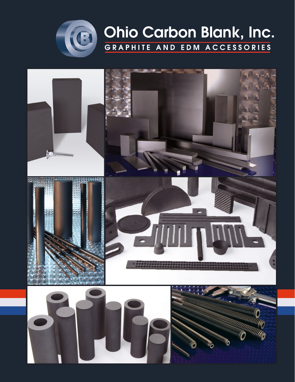

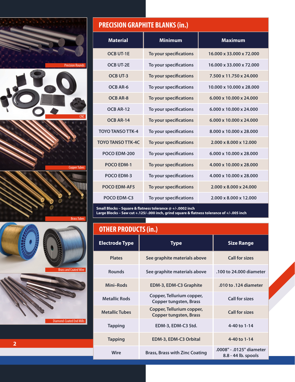





Copper Tubes

Diamond-Coated End Mills

Brass Tubes





| <b>Material</b>          | <b>Minimum</b>         | <b>Maximum</b>           |
|--------------------------|------------------------|--------------------------|
| <b>OCB UT-1E</b>         | To your specifications | 16,000 x 33,000 x 72,000 |
| <b>OCB UT-2E</b>         | To your specifications | 16,000 x 33,000 x 72,000 |
| <b>OCB UT-3</b>          | To your specifications | 7.500 x 11.750 x 24.000  |
| OCB AR-6                 | To your specifications | 10.000 x 10.000 x 28.000 |
| <b>OCB AR-8</b>          | To your specifications | 6.000 x 10.000 x 24.000  |
| OCB AR-12                | To your specifications | 6.000 x 10.000 x 24.000  |
| OCB AR-14                | To your specifications | 6.000 x 10.000 x 24.000  |
| <b>TOYO TANSO TTK-4</b>  | To your specifications | 8.000 x 10.000 x 28.000  |
| <b>TOYO TANSO TTK-4C</b> | To your specifications | 2.000 x 8.000 x 12.000   |
| POCO EDM-200             | To your specifications | 6.000 x 10.000 x 28.000  |
| <b>POCO EDM-1</b>        | To your specifications | 4.000 x 10.000 x 28.000  |
| <b>POCO EDM-3</b>        | To your specifications | 4.000 x 10.000 x 28.000  |
| <b>POCO EDM-AF5</b>      | To your specifications | 2.000 x 8.000 x 24.000   |
| POCO EDM-C3              | To your specifications | 2.000 x 8.000 x 12.000   |

**Small Blocks – Square & flatness tolerance @ +/-.0002 inch**

**Large Blocks – Saw cut +.125/-.000 inch, grind square & flatness tolerance of +/-.005 inch** 

## **OTHER PRODUCTS (in.)**

| <b>Electrode Type</b> | Type                                                       | <b>Size Range</b>                               |  |
|-----------------------|------------------------------------------------------------|-------------------------------------------------|--|
| <b>Plates</b>         | See graphite materials above                               | <b>Call for sizes</b>                           |  |
| <b>Rounds</b>         | See graphite materials above                               | .100 to 24,000 diameter                         |  |
| Mini-Rods             | EDM-3, EDM-C3 Graphite                                     | .010 to .124 diameter                           |  |
| <b>Metallic Rods</b>  | Copper, Tellurium copper,<br><b>Copper tungsten, Brass</b> | <b>Call for sizes</b>                           |  |
| <b>Metallic Tubes</b> | Copper, Tellurium copper,<br><b>Copper tungsten, Brass</b> | <b>Call for sizes</b>                           |  |
| <b>Tapping</b>        | EDM-3, EDM-C3 Std.                                         | 4-40 to 1-14                                    |  |
| <b>Tapping</b>        | EDM-3, EDM-C3 Orbital                                      | 4-40 to 1-14                                    |  |
| Wire                  | <b>Brass, Brass with Zinc Coating</b>                      | .0008" - .0125" diameter<br>8.8 - 44 lb. spools |  |

**2**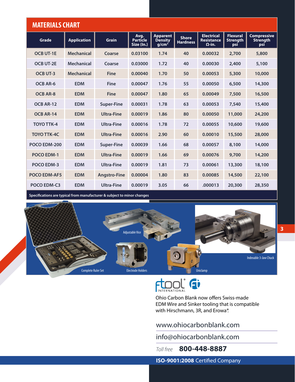| <b>MATERIALS CHART</b> |                    |                     |                                       |                                               |                                 |                                                         |                                           |                                              |
|------------------------|--------------------|---------------------|---------------------------------------|-----------------------------------------------|---------------------------------|---------------------------------------------------------|-------------------------------------------|----------------------------------------------|
| Grade                  | <b>Application</b> | <b>Grain</b>        | Avg.<br><b>Particle</b><br>Size (In.) | <b>Apparent</b><br><b>Density</b><br>$g/cm^3$ | <b>Shore</b><br><b>Hardness</b> | <b>Electrical</b><br><b>Resistance</b><br>$\Omega$ -in. | <b>Flexural</b><br><b>Strength</b><br>psi | <b>Compressive</b><br><b>Strength</b><br>psi |
| <b>OCB UT-1E</b>       | <b>Mechanical</b>  | Coarse              | 0.03100                               | 1.74                                          | 40                              | 0.00032                                                 | 2,700                                     | 5,800                                        |
| <b>OCB UT-2E</b>       | <b>Mechanical</b>  | Coarse              | 0.03000                               | 1.72                                          | 40                              | 0.00030                                                 | 2,400                                     | 5,100                                        |
| <b>OCB UT-3</b>        | <b>Mechanical</b>  | <b>Fine</b>         | 0.00040                               | 1.70                                          | 50                              | 0.00053                                                 | 5,300                                     | 10,000                                       |
| <b>OCB AR-6</b>        | <b>EDM</b>         | <b>Fine</b>         | 0.00047                               | 1.76                                          | 55                              | 0.00050                                                 | 6,500                                     | 14,300                                       |
| <b>OCB AR-8</b>        | <b>EDM</b>         | <b>Fine</b>         | 0.00047                               | 1.80                                          | 65                              | 0.00049                                                 | 7,500                                     | 16,500                                       |
| OCB AR-12              | <b>EDM</b>         | <b>Super-Fine</b>   | 0.00031                               | 1.78                                          | 63                              | 0.00053                                                 | 7,540                                     | 15,400                                       |
| OCB AR-14              | <b>EDM</b>         | <b>Ultra-Fine</b>   | 0.00019                               | 1.86                                          | 80                              | 0.00050                                                 | 11,000                                    | 24,200                                       |
| <b>TOYO TTK-4</b>      | <b>EDM</b>         | <b>Ultra-Fine</b>   | 0.00016                               | 1.78                                          | 72                              | 0.00055                                                 | 10,600                                    | 19,600                                       |
| <b>TOYO TTK-4C</b>     | <b>EDM</b>         | <b>Ultra-Fine</b>   | 0.00016                               | 2.90                                          | 60                              | 0.00010                                                 | 15,500                                    | 28,000                                       |
| POCO EDM-200           | <b>EDM</b>         | <b>Super-Fine</b>   | 0.00039                               | 1.66                                          | 68                              | 0.00057                                                 | 8,100                                     | 14,000                                       |
| <b>POCO EDM-1</b>      | <b>EDM</b>         | <b>Ultra-Fine</b>   | 0.00019                               | 1.66                                          | 69                              | 0.00076                                                 | 9,700                                     | 14,200                                       |
| POCO EDM-3             | <b>EDM</b>         | <b>Ultra-Fine</b>   | 0.00019                               | 1.81                                          | 73                              | 0.00061                                                 | 13,300                                    | 18,100                                       |
| <b>POCO EDM-AF5</b>    | <b>EDM</b>         | <b>Angstro-Fine</b> | 0.00004                               | 1.80                                          | 83                              | 0.00085                                                 | 14,500                                    | 22,100                                       |
| POCO EDM-C3            | <b>EDM</b>         | <b>Ultra-Fine</b>   | 0.00019                               | 3.05                                          | 66                              | .000013                                                 | 20,300                                    | 28,350                                       |

**Specifications are typical from manufacturer & subject to minor changes** 



Gì INTERNATIONAL

Ohio Carbon Blank now offers Swiss‑made EDM Wire and Sinker tooling that is compatible with Hirschmann, 3R, and Erowa®.

www.ohiocarbonblank.com

info@ohiocarbonblank.com

*Toll free* **800-448-8887**

**ISO-9001:2008** Certified Company